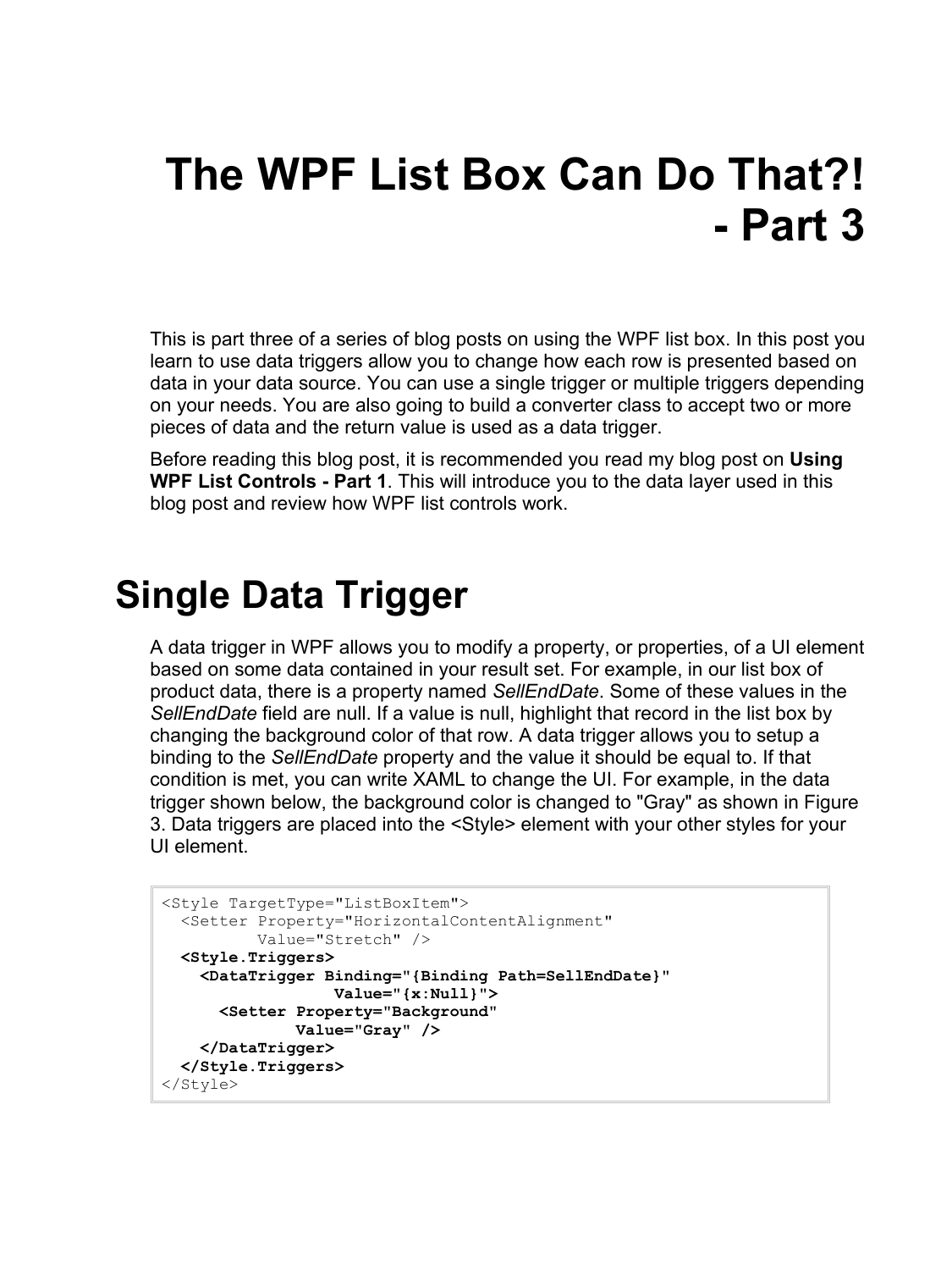# **The WPF List Box Can Do That?! - Part 3**

This is part three of a series of blog posts on using the WPF list box. In this post you learn to use data triggers allow you to change how each row is presented based on data in your data source. You can use a single trigger or multiple triggers depending on your needs. You are also going to build a converter class to accept two or more pieces of data and the return value is used as a data trigger.

Before reading this blog post, it is recommended you read my blog post on **Using WPF List Controls - Part 1**. This will introduce you to the data layer used in this blog post and review how WPF list controls work.

#### **Single Data Trigger**

A data trigger in WPF allows you to modify a property, or properties, of a UI element based on some data contained in your result set. For example, in our list box of product data, there is a property named *SellEndDate*. Some of these values in the *SellEndDate* field are null. If a value is null, highlight that record in the list box by changing the background color of that row. A data trigger allows you to setup a binding to the *SellEndDate* property and the value it should be equal to. If that condition is met, you can write XAML to change the UI. For example, in the data trigger shown below, the background color is changed to "Gray" as shown in [Figure](#page-1-0)  [3.](#page-1-0) Data triggers are placed into the <Style> element with your other styles for your UI element.

```
<Style TargetType="ListBoxItem">
   <Setter Property="HorizontalContentAlignment"
           Value="Stretch" />
  <Style.Triggers>
    <DataTrigger Binding="{Binding Path=SellEndDate}"
                   Value="{x:Null}">
       <Setter Property="Background"
               Value="Gray" />
     </DataTrigger>
   </Style.Triggers>
</Style>
```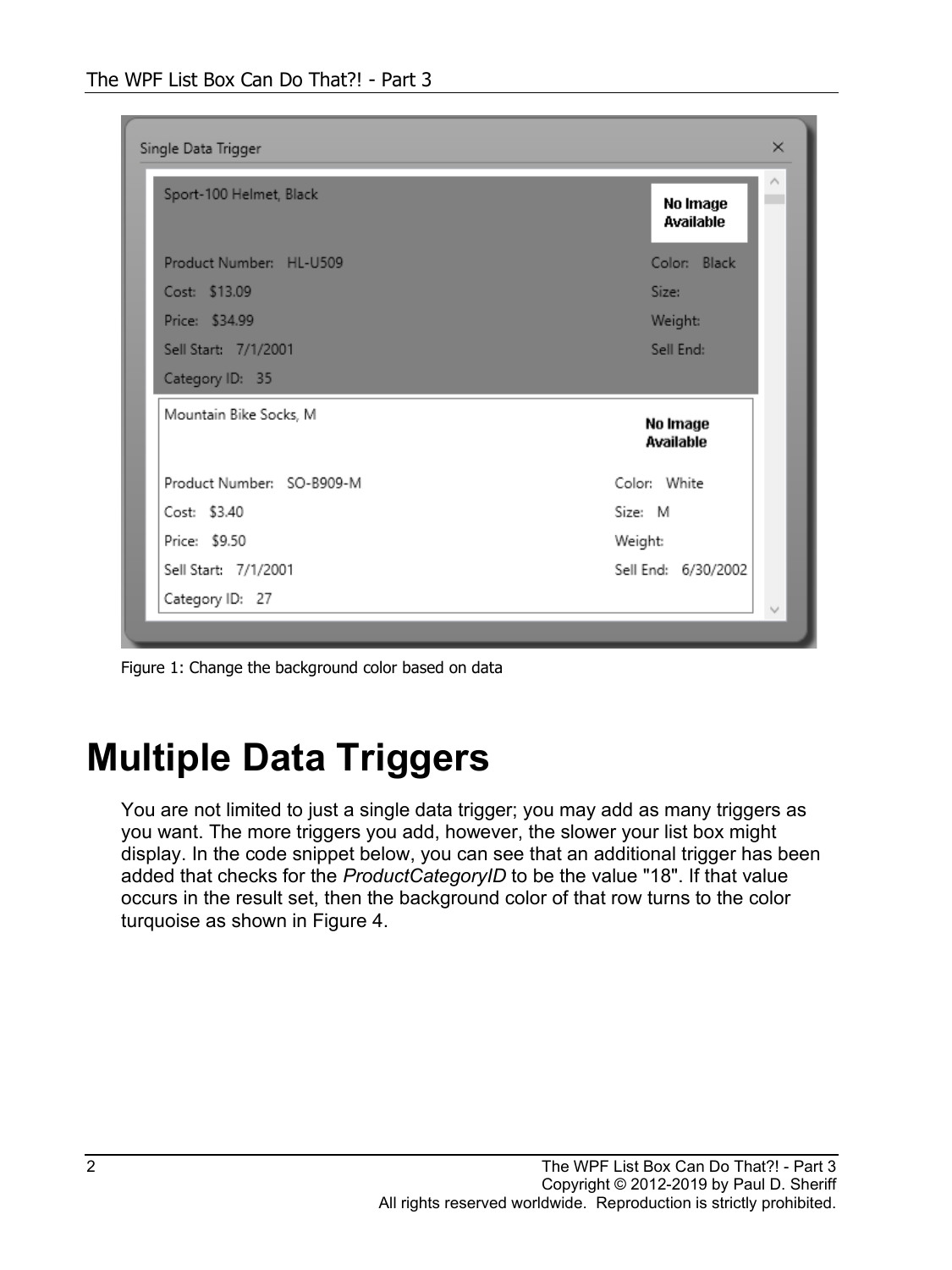| Product Number: HL-U509                | Color: Black<br>Size:<br>Weight: |
|----------------------------------------|----------------------------------|
| Cost: \$13.09                          |                                  |
| Price: \$34.99<br>Sell Start: 7/1/2001 |                                  |
|                                        |                                  |
|                                        | Sell End:                        |
| Category ID: 35                        |                                  |
| Mountain Bike Socks, M                 | No Image<br>Available            |
| Product Number: SO-B909-M              | Color: White                     |
| Cost: \$3.40                           | Size: M                          |
| Price: \$9.50                          | Weight:                          |
| Sell Start: 7/1/2001                   | Sell End: 6/30/2002              |

<span id="page-1-0"></span>Figure 1: Change the background color based on data

# **Multiple Data Triggers**

You are not limited to just a single data trigger; you may add as many triggers as you want. The more triggers you add, however, the slower your list box might display. In the code snippet below, you can see that an additional trigger has been added that checks for the *ProductCategoryID* to be the value "18". If that value occurs in the result set, then the background color of that row turns to the color turquoise as shown in [Figure 4.](#page-2-0)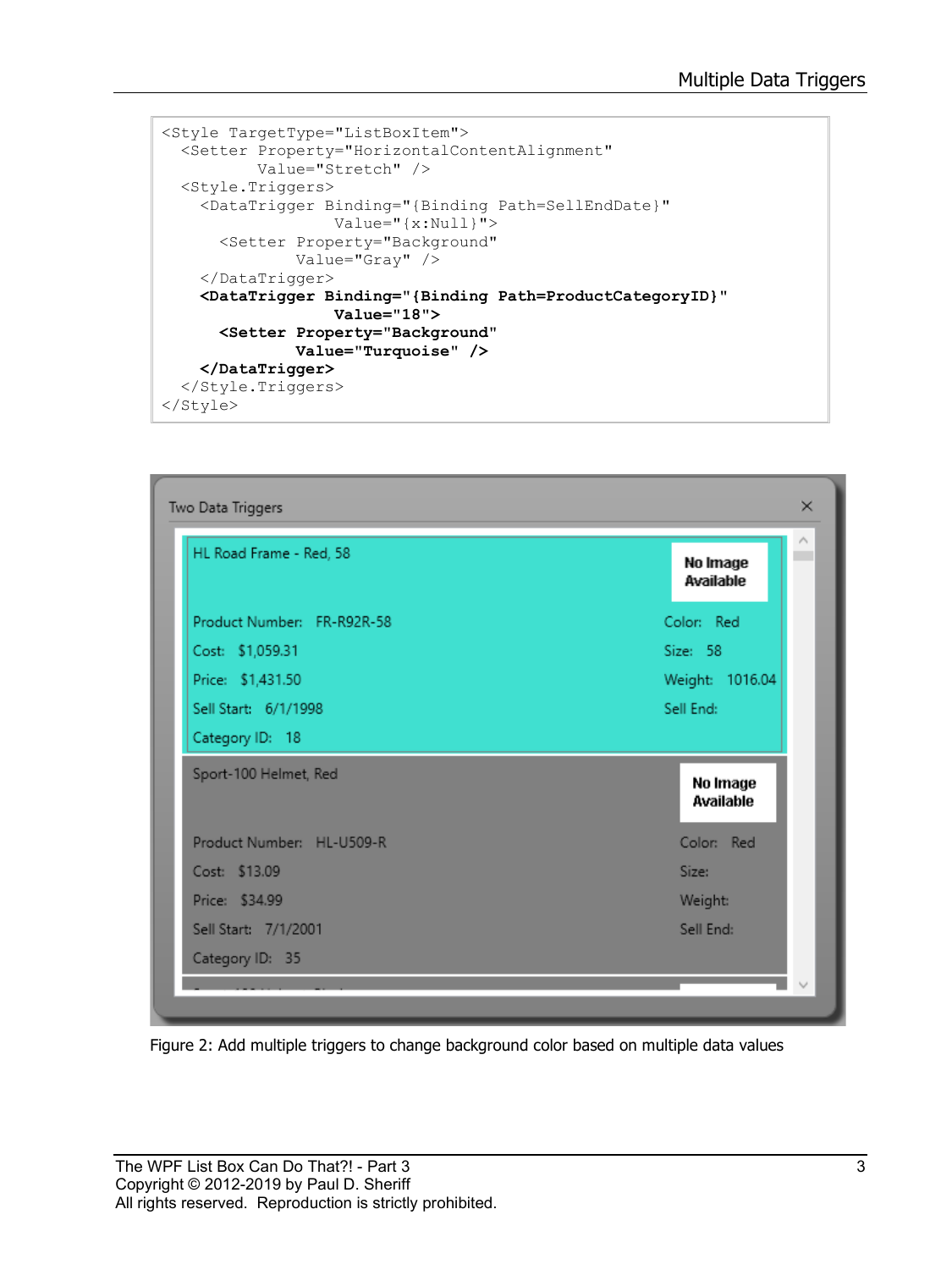```
<Style TargetType="ListBoxItem">
  <Setter Property="HorizontalContentAlignment"
           Value="Stretch" />
   <Style.Triggers>
     <DataTrigger Binding="{Binding Path=SellEndDate}"
                   Value="{x:Null}">
       <Setter Property="Background"
               Value="Gray" />
     </DataTrigger>
     <DataTrigger Binding="{Binding Path=ProductCategoryID}"
                   Value="18">
       <Setter Property="Background"
               Value="Turquoise" />
     </DataTrigger>
   </Style.Triggers>
</Style>
```


<span id="page-2-0"></span>Figure 2: Add multiple triggers to change background color based on multiple data values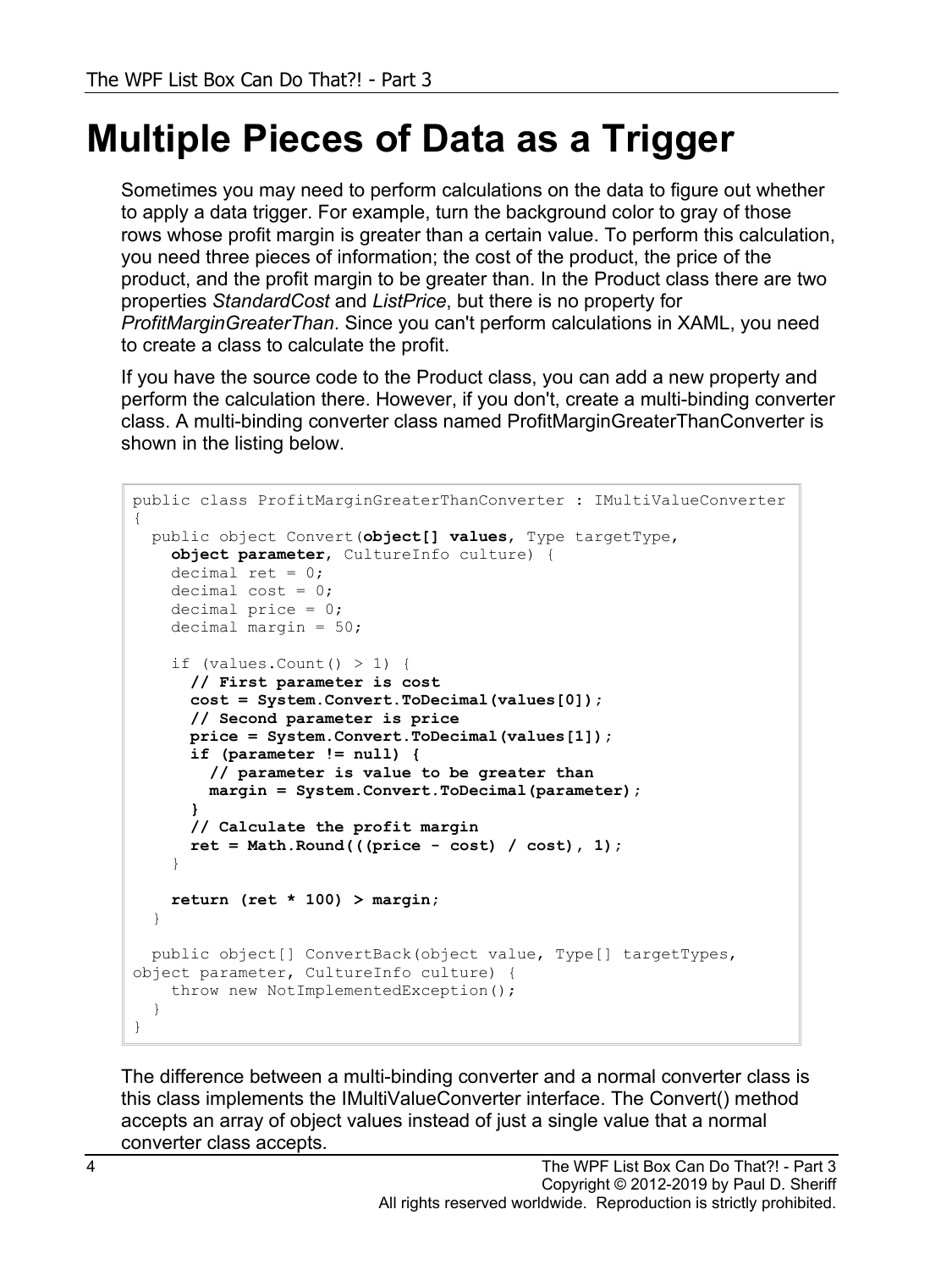# **Multiple Pieces of Data as a Trigger**

Sometimes you may need to perform calculations on the data to figure out whether to apply a data trigger. For example, turn the background color to gray of those rows whose profit margin is greater than a certain value. To perform this calculation, you need three pieces of information; the cost of the product, the price of the product, and the profit margin to be greater than. In the Product class there are two properties *StandardCost* and *ListPrice*, but there is no property for *ProfitMarginGreaterThan*. Since you can't perform calculations in XAML, you need to create a class to calculate the profit.

If you have the source code to the Product class, you can add a new property and perform the calculation there. However, if you don't, create a multi-binding converter class. A multi-binding converter class named ProfitMarginGreaterThanConverter is shown in the listing below.

```
public class ProfitMarginGreaterThanConverter : IMultiValueConverter
{
  public object Convert(object[] values, Type targetType,
    object parameter, CultureInfo culture) { 
   decimal ret = 0;
    decimal cost = 0;
     decimal price = 0;
     decimal margin = 50;
    if (values. Count () > 1) {
       // First parameter is cost
       cost = System.Convert.ToDecimal(values[0]);
       // Second parameter is price
       price = System.Convert.ToDecimal(values[1]);
       if (parameter != null) {
         // parameter is value to be greater than
         margin = System.Convert.ToDecimal(parameter);
 }
       // Calculate the profit margin
       ret = Math.Round(((price - cost) / cost), 1);
 }
     return (ret * 100) > margin;
   }
  public object[] ConvertBack(object value, Type[] targetTypes, 
object parameter, CultureInfo culture) {
    throw new NotImplementedException();
   }
}
```
The difference between a multi-binding converter and a normal converter class is this class implements the IMultiValueConverter interface. The Convert() method accepts an array of object values instead of just a single value that a normal converter class accepts.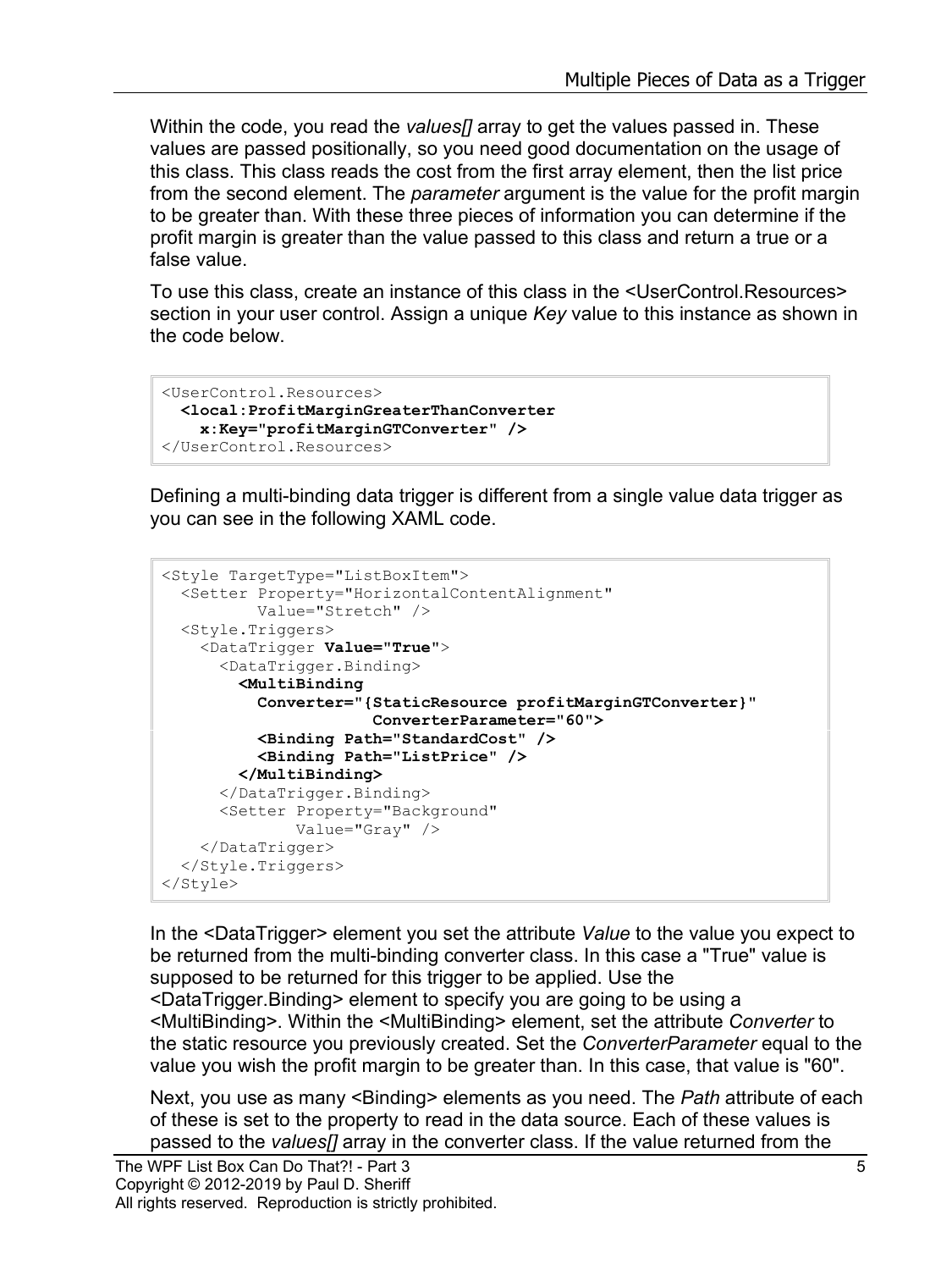Within the code, you read the *values[]* array to get the values passed in. These values are passed positionally, so you need good documentation on the usage of this class. This class reads the cost from the first array element, then the list price from the second element. The *parameter* argument is the value for the profit margin to be greater than. With these three pieces of information you can determine if the profit margin is greater than the value passed to this class and return a true or a false value.

To use this class, create an instance of this class in the <UserControl.Resources> section in your user control. Assign a unique *Key* value to this instance as shown in the code below.

```
<UserControl.Resources>
  <local:ProfitMarginGreaterThanConverter
     x:Key="profitMarginGTConverter" />
</UserControl.Resources>
```
Defining a multi-binding data trigger is different from a single value data trigger as you can see in the following XAML code.

```
<Style TargetType="ListBoxItem">
  <Setter Property="HorizontalContentAlignment"
           Value="Stretch" />
  <Style.Triggers>
     <DataTrigger Value="True">
       <DataTrigger.Binding>
         <MultiBinding
           Converter="{StaticResource profitMarginGTConverter}"
                       ConverterParameter="60">
           <Binding Path="StandardCost" />
           <Binding Path="ListPrice" />
         </MultiBinding>
       </DataTrigger.Binding>
       <Setter Property="Background"
               Value="Gray" />
    </DataTrigger>
   </Style.Triggers>
</Style>
```
In the <DataTrigger> element you set the attribute *Value* to the value you expect to be returned from the multi-binding converter class. In this case a "True" value is supposed to be returned for this trigger to be applied. Use the <DataTrigger.Binding> element to specify you are going to be using a <MultiBinding>. Within the <MultiBinding> element, set the attribute *Converter* to the static resource you previously created. Set the *ConverterParameter* equal to the value you wish the profit margin to be greater than. In this case, that value is "60".

Next, you use as many <Binding> elements as you need. The *Path* attribute of each of these is set to the property to read in the data source. Each of these values is passed to the *values[]* array in the converter class. If the value returned from the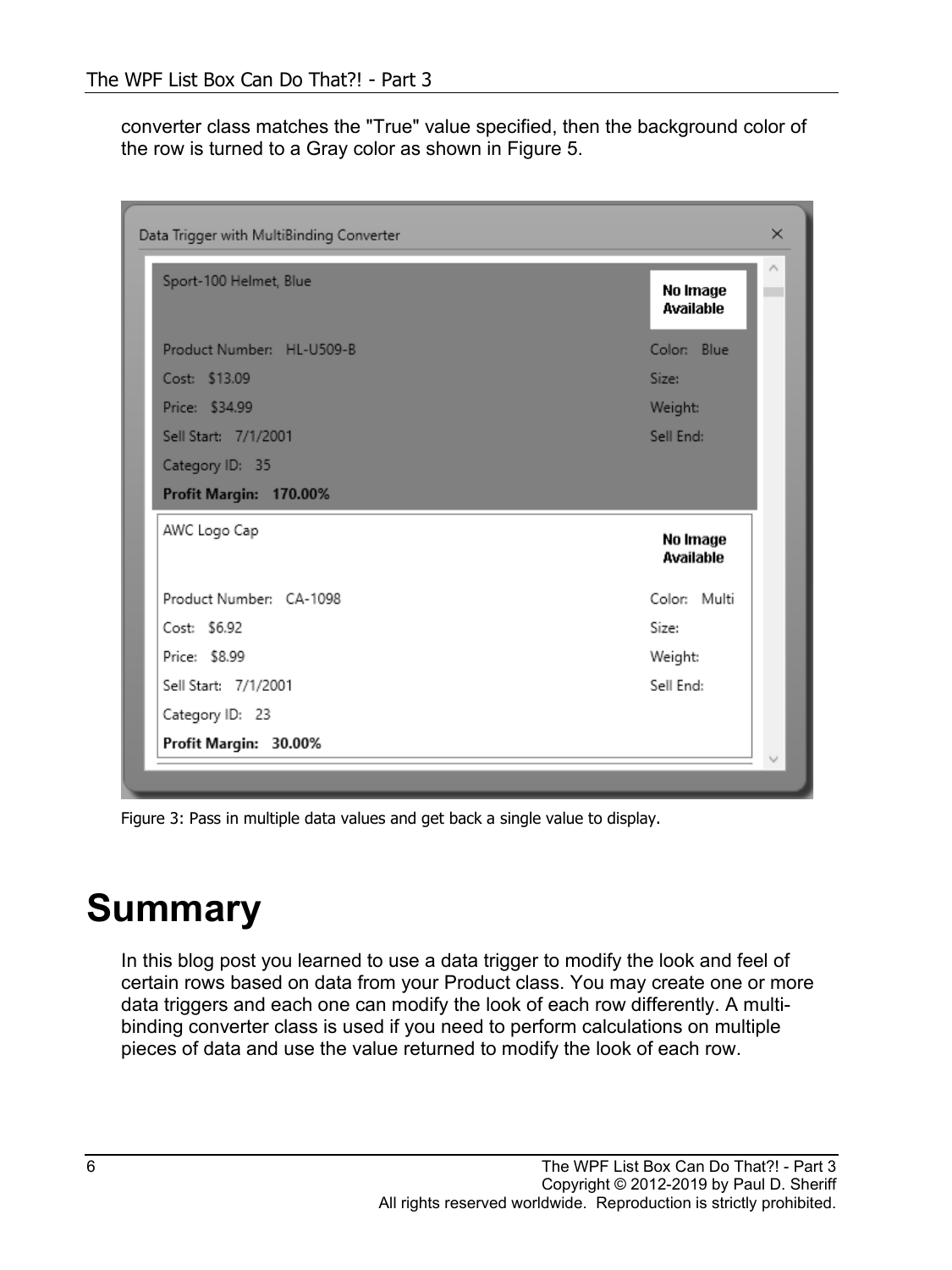converter class matches the "True" value specified, then the background color of the row is turned to a Gray color as shown in [Figure 5.](#page-5-0)

| Sport-100 Helmet, Blue    | No Image<br><b>Available</b> |
|---------------------------|------------------------------|
| Product Number: HL-U509-B | Color: Blue                  |
| Cost: \$13.09             | Size:                        |
| Price: \$34.99            | Weight:                      |
| Sell Start: 7/1/2001      | Sell End:                    |
| Category ID: 35           |                              |
| Profit Margin: 170.00%    |                              |
| AWC Logo Cap              | No Image<br>Available        |
| Product Number: CA-1098   | Color: Multi                 |
| Cost: \$6.92              | Size:                        |
| Price: \$8.99             | Weight:                      |
|                           | Sell End:                    |
| Sell Start: 7/1/2001      |                              |

<span id="page-5-0"></span>Figure 3: Pass in multiple data values and get back a single value to display.

# **Summary**

In this blog post you learned to use a data trigger to modify the look and feel of certain rows based on data from your Product class. You may create one or more data triggers and each one can modify the look of each row differently. A multibinding converter class is used if you need to perform calculations on multiple pieces of data and use the value returned to modify the look of each row.